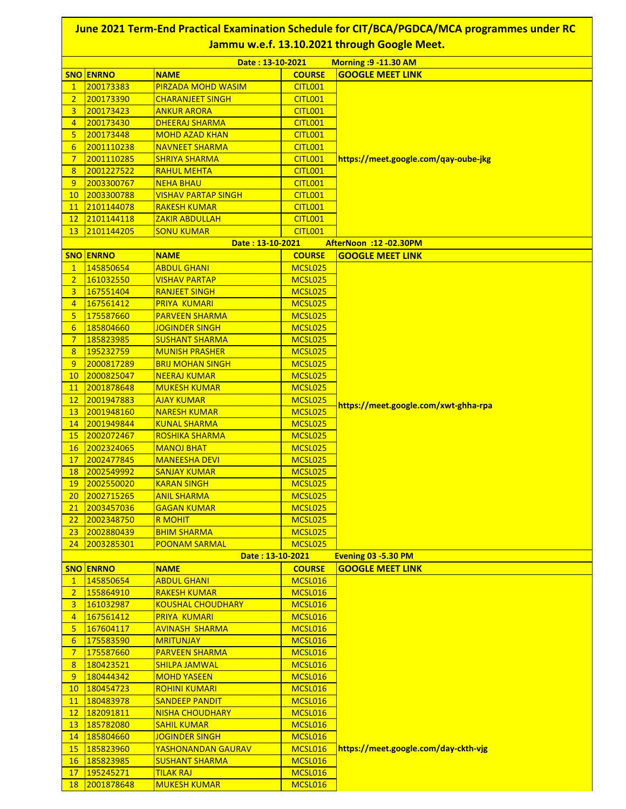|                  |                         |                                         |                    | June 2021 Term-End Practical Examination Schedule for CIT/BCA/PGDCA/MCA programmes under RC<br>Jammu w.e.f. 13.10.2021 through Google Meet. |
|------------------|-------------------------|-----------------------------------------|--------------------|---------------------------------------------------------------------------------------------------------------------------------------------|
|                  |                         | Date: 13-10-2021                        |                    | <b>Morning : 9-11.30 AM</b>                                                                                                                 |
|                  | <b>SNO ENRNO</b>        | <b>NAME</b>                             | <b>COURSE</b>      | <b>GOOGLE MEET LINK</b>                                                                                                                     |
| $\mathbf{1}$     | 200173383               | <b>PIRZADA MOHD WASIM</b>               | <b>CITL001</b>     |                                                                                                                                             |
| $\overline{2}$   | 200173390               | <b>CHARANJEET SINGH</b>                 | <b>CITL001</b>     |                                                                                                                                             |
| 3                | 200173423               | <b>ANKUR ARORA</b>                      | CITL001            |                                                                                                                                             |
| $\overline{4}$   | 200173430               | <b>DHEERAJ SHARMA</b>                   | <b>CITL001</b>     |                                                                                                                                             |
| 5                | 200173448               | <b>MOHD AZAD KHAN</b>                   | <b>CITL001</b>     |                                                                                                                                             |
| $6\overline{6}$  | 2001110238              | <b>NAVNEET SHARMA</b>                   | <b>CITL001</b>     |                                                                                                                                             |
| $\overline{7}$   | 2001110285              | <b>SHRIYA SHARMA</b>                    | <b>CITL001</b>     | https://meet.google.com/qay-oube-jkg                                                                                                        |
| 8                | 2001227522              | <b>RAHUL MEHTA</b>                      | <b>CITL001</b>     |                                                                                                                                             |
| 9                | 2003300767              | <b>NEHA BHAU</b>                        | <b>CITL001</b>     |                                                                                                                                             |
| 10               | 2003300788              | <b>VISHAV PARTAP SINGH</b>              | <b>CITL001</b>     |                                                                                                                                             |
| 11               | 2101144078              | <b>RAKESH KUMAR</b>                     | <b>CITL001</b>     |                                                                                                                                             |
| 12               | 2101144118              | <b>ZAKIR ABDULLAH</b>                   | <b>CITL001</b>     |                                                                                                                                             |
| 13               | 2101144205              | <b>SONU KUMAR</b>                       | <b>CITL001</b>     |                                                                                                                                             |
|                  |                         | Date: 13-10-2021                        |                    | AfterNoon :12 -02.30PM                                                                                                                      |
|                  | <b>SNO ENRNO</b>        | <b>NAME</b>                             | <b>COURSE</b>      | <b>GOOGLE MEET LINK</b>                                                                                                                     |
| $\mathbf{1}$     | 145850654               | <b>ABDUL GHANI</b>                      | MCSL025            |                                                                                                                                             |
| 2 <sup>1</sup>   | 161032550               | <u>VISHAV PARTAP</u>                    | MCSL025            |                                                                                                                                             |
| $\overline{3}$   | 167551404               | <b>RANJEET SINGH</b>                    | MCSL025            |                                                                                                                                             |
| $\overline{4}$   | 167561412               | <b>PRIYA KUMARI</b>                     | MCSL025            |                                                                                                                                             |
| 5 <sub>5</sub>   | 175587660               | <b>PARVEEN SHARMA</b>                   | MCSL025            |                                                                                                                                             |
| $6 \overline{6}$ | 185804660               | <b>JOGINDER SINGH</b>                   | MCSL025            |                                                                                                                                             |
| $\overline{7}$   | 185823985               | <b>SUSHANT SHARMA</b>                   | MCSL025            |                                                                                                                                             |
| 8                | 195232759               | <b>MUNISH PRASHER</b>                   | MCSL025            |                                                                                                                                             |
| 9                | 2000817289              | <b>BRIJ MOHAN SINGH</b>                 | MCSL025            |                                                                                                                                             |
| 10               | 2000825047              | <b>NEERAJ KUMAR</b>                     | MCSL025            |                                                                                                                                             |
| 11               | 2001878648              | <b>MUKESH KUMAR</b>                     | MCSL025            |                                                                                                                                             |
| 12               | 2001947883              | <b>AJAY KUMAR</b>                       | MCSL025            | https://meet.google.com/xwt-ghha-rpa                                                                                                        |
| 13               | 2001948160              | <b>NARESH KUMAR</b>                     | MCSL025            |                                                                                                                                             |
| 14               | 2001949844              | <b>KUNAL SHARMA</b>                     | MCSL025            |                                                                                                                                             |
| 15               | 2002072467              | <b>ROSHIKA SHARMA</b>                   | MCSL025            |                                                                                                                                             |
| 16               | 2002324065              | <b>MANOJ BHAT</b>                       | MCSL025            |                                                                                                                                             |
| 17               | 2002477845              | <b>MANEESHA DEVI</b>                    | MCSL025            |                                                                                                                                             |
| <b>18</b>        | 2002549992              | <b>SANJAY KUMAR</b>                     | MCSL025            |                                                                                                                                             |
| 19               | 2002550020              | <b>KARAN SINGH</b>                      | MCSL025            |                                                                                                                                             |
| 20               | 2002715265              | <b>ANIL SHARMA</b>                      | MCSL025            |                                                                                                                                             |
| 21               | 2003457036              | <b>GAGAN KUMAR</b>                      | MCSL025            |                                                                                                                                             |
| 22               | 2002348750              | <b>R MOHIT</b>                          | MCSL025            |                                                                                                                                             |
| 23               | 2002880439              | <b>BHIM SHARMA</b>                      | MCSL025            |                                                                                                                                             |
| 24               | 2003285301              | <b>POONAM SARMAL</b>                    | MCSL025            |                                                                                                                                             |
|                  |                         | Date: 13-10-2021                        |                    | <b>Evening 03 -5.30 PM</b>                                                                                                                  |
|                  | <b>SNO ENRNO</b>        | <b>NAME</b>                             | <b>COURSE</b>      | <b>GOOGLE MEET LINK</b>                                                                                                                     |
| $\mathbf{1}$     | 145850654               | <b>ABDUL GHANI</b>                      | MCSL016            |                                                                                                                                             |
| $\overline{2}$   | 155864910               | <b>RAKESH KUMAR</b>                     | MCSL016            |                                                                                                                                             |
| $\overline{3}$   | 161032987               | <b>KOUSHAL CHOUDHARY</b>                | MCSL016            |                                                                                                                                             |
| $\overline{4}$   | 167561412               | <b>PRIYA KUMARI</b>                     | MCSL016            |                                                                                                                                             |
| 5 <sub>5</sub>   | 167604117               | <b>AVINASH SHARMA</b>                   | MCSL016            |                                                                                                                                             |
| $6 \overline{6}$ | 175583590               | <b>MRITUNJAY</b>                        | MCSL016            |                                                                                                                                             |
| $\overline{7}$   | 175587660               | <b>PARVEEN SHARMA</b>                   | MCSL016            |                                                                                                                                             |
| 8                | 180423521               | <b>SHILPA JAMWAL</b>                    | MCSL016            |                                                                                                                                             |
| 9                | 180444342               | <b>MOHD YASEEN</b>                      | MCSL016            |                                                                                                                                             |
| 10               | 180454723               | <b>ROHINI KUMARI</b>                    | MCSL016            |                                                                                                                                             |
| 11               | 180483978               | <b>SANDEEP PANDIT</b>                   | MCSL016            |                                                                                                                                             |
| 12               | 182091811               | <b>NISHA CHOUDHARY</b>                  | MCSL016            |                                                                                                                                             |
| 13               | 185782080               | <b>SAHIL KUMAR</b>                      | MCSL016            |                                                                                                                                             |
| 14               | 185804660               | <b>JOGINDER SINGH</b>                   | MCSL016            | https://meet.google.com/day-ckth-vjg                                                                                                        |
| 15               | 185823960               | YASHONANDAN GAURAV                      | MCSL016            |                                                                                                                                             |
| 16<br>17         | 185823985               | <b>SUSHANT SHARMA</b>                   | MCSL016            |                                                                                                                                             |
| 18               | 195245271<br>2001878648 | <b>TILAK RAJ</b><br><b>MUKESH KUMAR</b> | MCSL016<br>MCSL016 |                                                                                                                                             |
|                  |                         |                                         |                    |                                                                                                                                             |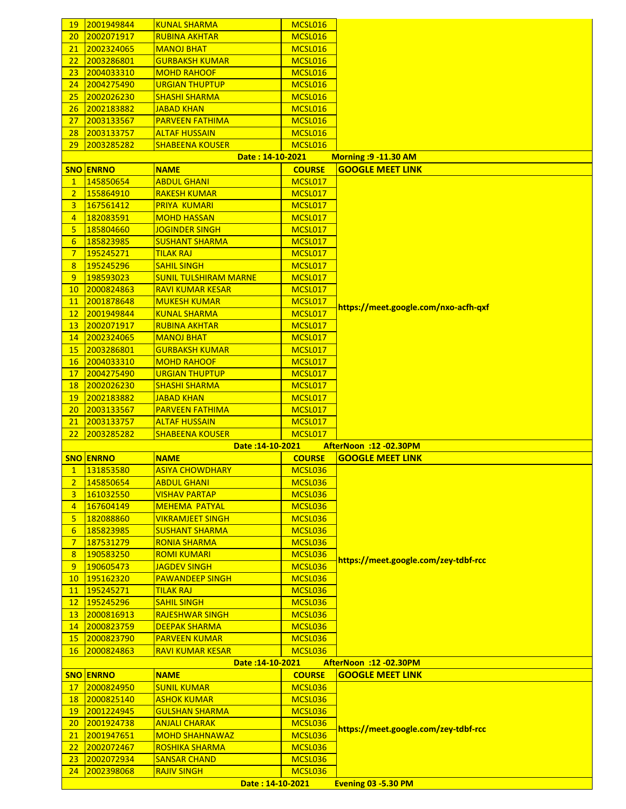| 19              | 2001949844       | <b>KUNAL SHARMA</b>          | MCSL016       |                                      |
|-----------------|------------------|------------------------------|---------------|--------------------------------------|
| 20              | 2002071917       | <b>RUBINA AKHTAR</b>         | MCSL016       |                                      |
| 21              | 2002324065       | <b>MANOJ BHAT</b>            | MCSL016       |                                      |
| 22              | 2003286801       | <b>GURBAKSH KUMAR</b>        | MCSL016       |                                      |
| 23              | 2004033310       | <b>MOHD RAHOOF</b>           | MCSL016       |                                      |
| 24              | 2004275490       | <b>URGIAN THUPTUP</b>        | MCSL016       |                                      |
| 25              | 2002026230       | <b>SHASHI SHARMA</b>         | MCSL016       |                                      |
| 26              | 2002183882       | <u>JABAD KHAN</u>            | MCSL016       |                                      |
|                 |                  |                              |               |                                      |
| 27              | 2003133567       | <b>PARVEEN FATHIMA</b>       | MCSL016       |                                      |
| 28              | 2003133757       | <b>ALTAF HUSSAIN</b>         | MCSL016       |                                      |
| 29              | 2003285282       | <b>SHABEENA KOUSER</b>       | MCSL016       |                                      |
|                 |                  | Date: 14-10-2021             |               | <b>Morning :9 -11.30 AM</b>          |
|                 | <b>SNO ENRNO</b> | <b>NAME</b>                  | <b>COURSE</b> | <b>GOOGLE MEET LINK</b>              |
| $\mathbf{1}$    | 145850654        | <b>ABDUL GHANI</b>           | MCSL017       |                                      |
| $\overline{2}$  | 155864910        | <b>RAKESH KUMAR</b>          | MCSL017       |                                      |
| 3               | 167561412        | <b>PRIYA KUMARI</b>          | MCSL017       |                                      |
| $\overline{4}$  | 182083591        | <b>MOHD HASSAN</b>           | MCSL017       |                                      |
| 5               | 185804660        | <b>JOGINDER SINGH</b>        | MCSL017       |                                      |
| 6               | 185823985        | <b>SUSHANT SHARMA</b>        | MCSL017       |                                      |
| $7\phantom{.}$  |                  |                              |               |                                      |
|                 | 195245271        | <b>TILAK RAJ</b>             | MCSL017       |                                      |
| 8               | 195245296        | <b>SAHIL SINGH</b>           | MCSL017       |                                      |
| 9               | 198593023        | <b>SUNIL TULSHIRAM MARNE</b> | MCSL017       |                                      |
| 10              | 2000824863       | <b>RAVI KUMAR KESAR</b>      | MCSL017       |                                      |
| 11              | 2001878648       | <b>MUKESH KUMAR</b>          | MCSL017       | https://meet.google.com/nxo-acfh-qxf |
| 12              | 2001949844       | <b>KUNAL SHARMA</b>          | MCSL017       |                                      |
| 13              | 2002071917       | <b>RUBINA AKHTAR</b>         | MCSL017       |                                      |
| 14              | 2002324065       | <b>MANOJ BHAT</b>            | MCSL017       |                                      |
| 15              | 2003286801       | <b>GURBAKSH KUMAR</b>        | MCSL017       |                                      |
| 16              | 2004033310       | <b>MOHD RAHOOF</b>           | MCSL017       |                                      |
| 17              | 2004275490       | <b>URGIAN THUPTUP</b>        | MCSL017       |                                      |
| 18              | 2002026230       | <b>SHASHI SHARMA</b>         | MCSL017       |                                      |
| 19              | 2002183882       | <b>JABAD KHAN</b>            | MCSL017       |                                      |
|                 |                  |                              |               |                                      |
|                 |                  |                              |               |                                      |
| 20              | 2003133567       | <b>PARVEEN FATHIMA</b>       | MCSL017       |                                      |
| 21              | 2003133757       | <b>ALTAF HUSSAIN</b>         | MCSL017       |                                      |
| 22              | 2003285282       | <b>SHABEENA KOUSER</b>       | MCSL017       |                                      |
|                 |                  | Date: 14-10-2021             |               | AfterNoon :12 -02.30PM               |
|                 | <b>SNO ENRNO</b> | <b>NAME</b>                  | <b>COURSE</b> | <b>GOOGLE MEET LINK</b>              |
| $\mathbf{1}$    | 131853580        | <u>ASIYA CHOWDHARY</u>       | MCSL036       |                                      |
| $\overline{2}$  | 145850654        | <b>ABDUL GHANI</b>           | MCSL036       |                                      |
| 3               |                  | <b>VISHAV PARTAP</b>         | MCSL036       |                                      |
| $\overline{4}$  | 161032550        | <b>MEHEMA PATYAL</b>         | MCSL036       |                                      |
|                 | 167604149        |                              |               |                                      |
| 5               | 182088860        | VIKRAMJEET SINGH             | MCSL036       |                                      |
| 6               | 185823985        | <b>SUSHANT SHARMA</b>        | MCSL036       |                                      |
| $\overline{7}$  | 187531279        | <b>RONIA SHARMA</b>          | MCSL036       |                                      |
| 8               | 190583250        | <b>ROMI KUMARI</b>           | MCSL036       | https://meet.google.com/zey-tdbf-rcc |
| 9               | 190605473        | <b>JAGDEV SINGH</b>          | MCSL036       |                                      |
| 10 <sub>1</sub> | 195162320        | <b>PAWANDEEP SINGH</b>       | MCSL036       |                                      |
| 11              | 195245271        | <b>TILAK RAJ</b>             | MCSL036       |                                      |
| 12              | 195245296        | <b>SAHIL SINGH</b>           | MCSL036       |                                      |
| 13              | 2000816913       | <b>RAJESHWAR SINGH</b>       | MCSL036       |                                      |
| 14              | 2000823759       | <b>DEEPAK SHARMA</b>         | MCSL036       |                                      |
| 15              | 2000823790       | <b>PARVEEN KUMAR</b>         | MCSL036       |                                      |
| 16              |                  | <b>RAVI KUMAR KESAR</b>      |               |                                      |
|                 | 2000824863       |                              | MCSL036       |                                      |
|                 |                  | Date: 14-10-2021             |               | AfterNoon : 12 - 02.30PM             |
|                 | <b>SNO ENRNO</b> | <b>NAME</b>                  | <b>COURSE</b> | <b>GOOGLE MEET LINK</b>              |
| 17              | 2000824950       | <b>SUNIL KUMAR</b>           | MCSL036       |                                      |
| 18              | 2000825140       | <b>ASHOK KUMAR</b>           | MCSL036       |                                      |
| 19              | 2001224945       | <b>GULSHAN SHARMA</b>        | MCSL036       |                                      |
| 20              | 2001924738       | <b>ANJALI CHARAK</b>         | MCSL036       | https://meet.google.com/zey-tdbf-rcc |
| 21              | 2001947651       | <b>MOHD SHAHNAWAZ</b>        | MCSL036       |                                      |
| 22              | 2002072467       | <b>ROSHIKA SHARMA</b>        | MCSL036       |                                      |
| 23              | 2002072934       | <b>SANSAR CHAND</b>          | MCSL036       |                                      |
| 24              | 2002398068       | <b>RAJIV SINGH</b>           | MCSL036       |                                      |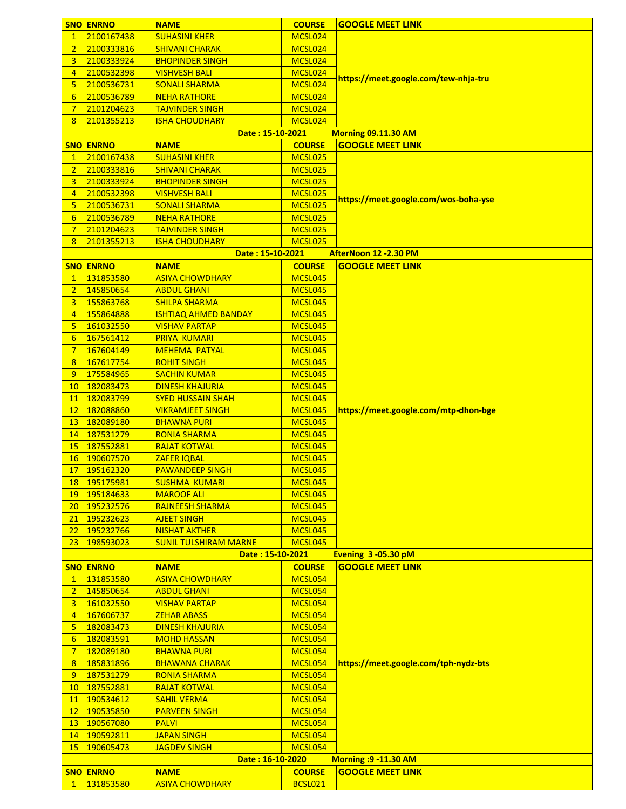|                     | <b>SNO ENRNO</b> | <b>NAME</b>                                | <b>COURSE</b>  | <b>GOOGLE MEET LINK</b>              |
|---------------------|------------------|--------------------------------------------|----------------|--------------------------------------|
| $\mathbf{1}$        | 2100167438       | <b>SUHASINI KHER</b>                       | MCSL024        |                                      |
| $\overline{2}$      | 2100333816       | <b>SHIVANI CHARAK</b>                      | MCSL024        |                                      |
|                     | 2100333924       | <b>BHOPINDER SINGH</b>                     | MCSL024        |                                      |
| 3<br>$\overline{4}$ |                  |                                            |                |                                      |
|                     | 2100532398       | <b>VISHVESH BALI</b>                       | MCSL024        | https://meet.google.com/tew-nhja-tru |
| 5                   | 2100536731       | <b>SONALI SHARMA</b>                       | MCSL024        |                                      |
| 6                   | 2100536789       | <b>NEHA RATHORE</b>                        | MCSL024        |                                      |
| $\overline{7}$      | 2101204623       | <b>TAJVINDER SINGH</b>                     | MCSL024        |                                      |
| 8                   | 2101355213       | <b>ISHA CHOUDHARY</b>                      | MCSL024        |                                      |
|                     |                  | Date: 15-10-2021                           |                | <b>Morning 09.11.30 AM</b>           |
|                     | <b>SNO ENRNO</b> | <b>NAME</b>                                | <b>COURSE</b>  | <b>GOOGLE MEET LINK</b>              |
| $\mathbf{1}$        | 2100167438       | <b>SUHASINI KHER</b>                       | MCSL025        |                                      |
| $\overline{2}$      | 2100333816       | <b>SHIVANI CHARAK</b>                      | MCSL025        |                                      |
| 3                   | 2100333924       | <b>BHOPINDER SINGH</b>                     | MCSL025        |                                      |
| $\overline{4}$      | 2100532398       | <b>VISHVESH BALI</b>                       | MCSL025        | https://meet.google.com/wos-boha-yse |
| 5                   | 2100536731       | <b>SONALI SHARMA</b>                       | MCSL025        |                                      |
| $6\overline{6}$     | 2100536789       | <b>NEHA RATHORE</b>                        | MCSL025        |                                      |
| $\overline{7}$      | 2101204623       | <b>TAJVINDER SINGH</b>                     | MCSL025        |                                      |
| 8                   | 2101355213       | <b>ISHA CHOUDHARY</b>                      | MCSL025        |                                      |
|                     |                  | Date: 15-10-2021                           |                | AfterNoon 12 -2.30 PM                |
|                     | <b>SNO ENRNO</b> | <b>NAME</b>                                | <b>COURSE</b>  | <b>GOOGLE MEET LINK</b>              |
| $\mathbf{1}$        | 131853580        | <b>ASIYA CHOWDHARY</b>                     | MCSL045        |                                      |
| $\overline{2}$      | 145850654        | <b>ABDUL GHANI</b>                         | MCSL045        |                                      |
| 3                   | 155863768        | <b>SHILPA SHARMA</b>                       | MCSL045        |                                      |
| $\overline{4}$      | 155864888        | <b>ISHTIAQ AHMED BANDAY</b>                | MCSL045        |                                      |
| 5                   | 161032550        | <b>VISHAV PARTAP</b>                       | MCSL045        |                                      |
| 6                   | 167561412        | <b>PRIYA KUMARI</b>                        | MCSL045        |                                      |
| $7\phantom{.0}$     | 167604149        |                                            | MCSL045        |                                      |
|                     | 167617754        | <b>MEHEMA PATYAL</b><br><b>ROHIT SINGH</b> |                |                                      |
| 8                   |                  |                                            | MCSL045        |                                      |
| 9                   | 175584965        | <b>SACHIN KUMAR</b>                        | MCSL045        |                                      |
| 10                  | 182083473        | <b>DINESH KHAJURIA</b>                     | MCSL045        |                                      |
| 11                  | 182083799        | <b>SYED HUSSAIN SHAH</b>                   | MCSL045        |                                      |
| 12                  | 182088860        | <b>VIKRAMJEET SINGH</b>                    | MCSL045        | https://meet.google.com/mtp-dhon-bge |
| 13                  | 182089180        | <b>BHAWNA PURI</b>                         | MCSL045        |                                      |
| 14                  | 187531279        | <b>RONIA SHARMA</b>                        | MCSL045        |                                      |
| 15                  | 187552881        | <b>RAJAT KOTWAL</b>                        | MCSL045        |                                      |
| 16                  | 190607570        | <b>ZAFER IQBAL</b>                         | MCSL045        |                                      |
| 17 <sup>2</sup>     | 195162320        | <b>PAWANDEEP SINGH</b>                     | MCSL045        |                                      |
| 18                  | 195175981        | <b>SUSHMA KUMARI</b>                       | MCSL045        |                                      |
| 19                  | 195184633        | <b>MAROOF ALI</b>                          | MCSL045        |                                      |
| 20                  | 195232576        | <b>RAJNEESH SHARMA</b>                     | MCSL045        |                                      |
| 21                  | 195232623        | <b>AJEET SINGH</b>                         | MCSL045        |                                      |
| 22                  | 195232766        | <b>NISHAT AKTHER</b>                       | MCSL045        |                                      |
| 23                  | 198593023        | <b>SUNIL TULSHIRAM MARNE</b>               | MCSL045        |                                      |
|                     |                  | Date: 15-10-2021                           |                | Evening 3 -05.30 pM                  |
|                     | <b>SNO ENRNO</b> | <b>NAME</b>                                | <b>COURSE</b>  | <b>GOOGLE MEET LINK</b>              |
| $\mathbf{1}$        | 131853580        | <b>ASIYA CHOWDHARY</b>                     | MCSL054        |                                      |
| 2 <sup>1</sup>      | 145850654        | <b>ABDUL GHANI</b>                         | MCSL054        |                                      |
| 3 <sup>1</sup>      | 161032550        | <b>VISHAV PARTAP</b>                       | MCSL054        |                                      |
| $\overline{4}$      | 167606737        | <b>ZEHAR ABASS</b>                         | MCSL054        |                                      |
| 5                   | 182083473        | <b>DINESH KHAJURIA</b>                     | MCSL054        |                                      |
| 6                   | 182083591        | <b>MOHD HASSAN</b>                         | MCSL054        |                                      |
| $\overline{7}$      | 182089180        | <b>BHAWNA PURI</b>                         | MCSL054        |                                      |
| 8                   | 185831896        | <b>BHAWANA CHARAK</b>                      | MCSL054        | https://meet.google.com/tph-nydz-bts |
| 9                   | 187531279        | <b>RONIA SHARMA</b>                        | MCSL054        |                                      |
| 10 <sup>1</sup>     | 187552881        | <b>RAJAT KOTWAL</b>                        | MCSL054        |                                      |
|                     |                  |                                            |                |                                      |
| 11                  | 190534612        | <b>SAHIL VERMA</b>                         | MCSL054        |                                      |
| 12                  | 190535850        | <b>PARVEEN SINGH</b>                       | MCSL054        |                                      |
| 13                  | 190567080        | <b>PALVI</b>                               | MCSL054        |                                      |
| 14                  | 190592811        | <b>JAPAN SINGH</b>                         | MCSL054        |                                      |
| 15                  | 190605473        | <b>JAGDEV SINGH</b>                        | MCSL054        |                                      |
|                     |                  | Date: 16-10-2020                           |                | <b>Morning : 9-11.30 AM</b>          |
|                     | <b>SNO ENRNO</b> | <b>NAME</b>                                | <b>COURSE</b>  | <b>GOOGLE MEET LINK</b>              |
| $\mathbf{1}$        | 131853580        | <b>ASIYA CHOWDHARY</b>                     | <b>BCSL021</b> |                                      |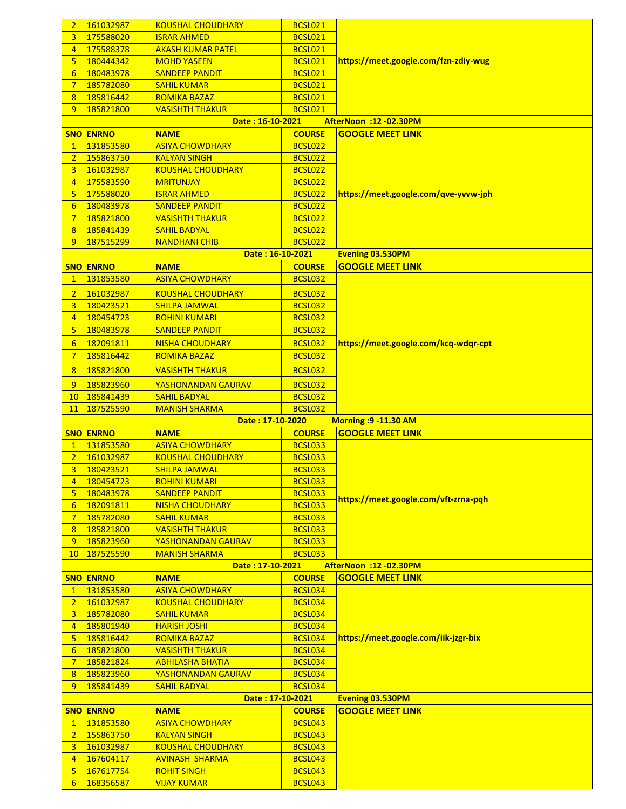| $\overline{2}$       | 161032987              | <b>KOUSHAL CHOUDHARY</b>                 | <b>BCSL021</b>                   |                                      |
|----------------------|------------------------|------------------------------------------|----------------------------------|--------------------------------------|
| 3                    | 175588020              | <b>ISRAR AHMED</b>                       | <b>BCSL021</b>                   |                                      |
| $\overline{4}$       | 175588378              | <b>AKASH KUMAR PATEL</b>                 | <b>BCSL021</b>                   |                                      |
| 5                    | 180444342              | <b>MOHD YASEEN</b>                       | <b>BCSL021</b>                   | https://meet.google.com/fzn-zdiy-wug |
| 6                    | 180483978              | <b>SANDEEP PANDIT</b>                    | <b>BCSL021</b>                   |                                      |
| $\overline{7}$       | 185782080              | <b>SAHIL KUMAR</b>                       | <b>BCSL021</b>                   |                                      |
| 8                    | 185816442              | <b>ROMIKA BAZAZ</b>                      | <b>BCSL021</b>                   |                                      |
| 9                    | 185821800              | <b>VASISHTH THAKUR</b>                   | <b>BCSL021</b>                   |                                      |
|                      |                        | Date: 16-10-2021                         |                                  | <b>AfterNoon :12 -02.30PM</b>        |
|                      | <b>SNO ENRNO</b>       | <b>NAME</b>                              | <b>COURSE</b>                    | <b>GOOGLE MEET LINK</b>              |
| $\mathbf{1}$         | 131853580              | <b>ASIYA CHOWDHARY</b>                   | <b>BCSL022</b>                   |                                      |
| $\overline{2}$       | 155863750              | <b>KALYAN SINGH</b>                      | <b>BCSL022</b>                   |                                      |
| 3 <sup>1</sup>       | 161032987              | <b>KOUSHAL CHOUDHARY</b>                 | <b>BCSL022</b>                   |                                      |
| $\overline{4}$       | 175583590              | <b>MRITUNJAY</b>                         | <b>BCSL022</b>                   |                                      |
| 5                    | 175588020              | <b>ISRAR AHMED</b>                       | <b>BCSL022</b>                   | https://meet.google.com/qve-yvvw-jph |
| $6 \overline{6}$     | 180483978              | <b>SANDEEP PANDIT</b>                    | <b>BCSL022</b>                   |                                      |
| $\overline{7}$       | 185821800              | <b>VASISHTH THAKUR</b>                   | <b>BCSL022</b>                   |                                      |
| 8                    | 185841439              | <b>SAHIL BADYAL</b>                      | <b>BCSL022</b>                   |                                      |
| 9                    | 187515299              | <b>NANDHANI CHIB</b>                     | <b>BCSL022</b>                   |                                      |
|                      |                        | Date: 16-10-2021                         |                                  | Evening 03.530PM                     |
|                      | <b>SNO ENRNO</b>       | <b>NAME</b>                              | <b>COURSE</b>                    | <b>GOOGLE MEET LINK</b>              |
| $\mathbf{1}$         | 131853580              | <b>ASIYA CHOWDHARY</b>                   | <b>BCSL032</b>                   |                                      |
| $\overline{2}$       | 161032987              | <b>KOUSHAL CHOUDHARY</b>                 | <b>BCSL032</b>                   |                                      |
| 3                    | 180423521              | <b>SHILPA JAMWAL</b>                     | <b>BCSL032</b>                   |                                      |
| $\overline{4}$       | 180454723              | <b>ROHINI KUMARI</b>                     | <b>BCSL032</b>                   |                                      |
| 5                    | 180483978              | <b>SANDEEP PANDIT</b>                    | <b>BCSL032</b>                   |                                      |
|                      | 182091811              |                                          |                                  |                                      |
| 6                    |                        | <b>NISHA CHOUDHARY</b>                   | <b>BCSL032</b>                   | https://meet.google.com/kcq-wdqr-cpt |
| $\overline{7}$       | 185816442              | <b>ROMIKA BAZAZ</b>                      | <b>BCSL032</b>                   |                                      |
| 8                    | 185821800              | <b>VASISHTH THAKUR</b>                   | <b>BCSL032</b>                   |                                      |
| 9                    | 185823960              | YASHONANDAN GAURAV                       | <b>BCSL032</b>                   |                                      |
| 10 <sub>1</sub>      | 185841439              | <b>SAHIL BADYAL</b>                      | <b>BCSL032</b>                   |                                      |
| 11                   | 187525590              | <b>MANISH SHARMA</b>                     | <b>BCSL032</b>                   |                                      |
|                      |                        | Date: 17-10-2020                         |                                  | <b>Morning : 9-11.30 AM</b>          |
|                      |                        |                                          |                                  |                                      |
|                      | <b>SNO ENRNO</b>       | <b>NAME</b>                              | <b>COURSE</b>                    | <b>GOOGLE MEET LINK</b>              |
| $\mathbf{1}$         | 131853580              | <b>ASIYA CHOWDHARY</b>                   | <b>BCSL033</b>                   |                                      |
| $\overline{2}$       | 161032987              | <b>KOUSHAL CHOUDHARY</b>                 | <b>BCSL033</b>                   |                                      |
| 3                    | 180423521              | <b>SHILPA JAMWAL</b>                     | <b>BCSL033</b>                   |                                      |
| 4                    | 180454723              | <b>ROHINI KUMARI</b>                     | <b>BCSL033</b>                   |                                      |
| 5                    | 180483978              | <b>SANDEEP PANDIT</b>                    | <b>BCSL033</b>                   |                                      |
| $6 \overline{6}$     | 182091811              | <b>NISHA CHOUDHARY</b>                   | <b>BCSL033</b>                   | https://meet.google.com/vft-zrna-pqh |
| $7\phantom{.0}$      | 185782080              | <b>SAHIL KUMAR</b>                       | <b>BCSL033</b>                   |                                      |
| 8                    | 185821800              | <b>VASISHTH THAKUR</b>                   | <b>BCSL033</b>                   |                                      |
| 9                    | 185823960              | YASHONANDAN GAURAV                       | <b>BCSL033</b>                   |                                      |
| 10 <sup>°</sup>      | 187525590              | <b>MANISH SHARMA</b>                     | <b>BCSL033</b>                   |                                      |
|                      |                        | Date: 17-10-2021                         |                                  | AfterNoon :12 -02.30PM               |
|                      | <b>SNO ENRNO</b>       | <b>NAME</b>                              | <b>COURSE</b>                    | <b>GOOGLE MEET LINK</b>              |
| $\mathbf{1}$         | 131853580              | <b>ASIYA CHOWDHARY</b>                   | <b>BCSL034</b>                   |                                      |
| $\overline{2}$       | 161032987              | <b>KOUSHAL CHOUDHARY</b>                 | <b>BCSL034</b>                   |                                      |
| 3 <sup>1</sup>       | 185782080              | <b>SAHIL KUMAR</b>                       | <b>BCSL034</b>                   |                                      |
| $\overline{4}$       | 185801940              | <b>HARISH JOSHI</b>                      | <b>BCSL034</b>                   |                                      |
| 5                    | 185816442              | <b>ROMIKA BAZAZ</b>                      | <b>BCSL034</b>                   | https://meet.google.com/iik-jzgr-bix |
| $6 \overline{6}$     | 185821800              | <b>VASISHTH THAKUR</b>                   | <b>BCSL034</b>                   |                                      |
| $\overline{7}$       | 185821824              | <b>ABHILASHA BHATIA</b>                  | <b>BCSL034</b>                   |                                      |
| 8                    | 185823960              | YASHONANDAN GAURAV                       | <b>BCSL034</b>                   |                                      |
| 9                    | 185841439              | <b>SAHIL BADYAL</b>                      | <b>BCSL034</b>                   |                                      |
|                      |                        | Date: 17-10-2021                         |                                  | <b>Evening 03.530PM</b>              |
|                      | <b>SNO ENRNO</b>       | <b>NAME</b>                              | <b>COURSE</b>                    | <b>GOOGLE MEET LINK</b>              |
| $\mathbf{1}$         | 131853580              | <b>ASIYA CHOWDHARY</b>                   | <b>BCSL043</b>                   |                                      |
| $\overline{2}$       | 155863750              | <b>KALYAN SINGH</b>                      | <b>BCSL043</b>                   |                                      |
| 3 <sup>1</sup>       | 161032987              | <b>KOUSHAL CHOUDHARY</b>                 | <b>BCSL043</b>                   |                                      |
| $\overline{4}$       | 167604117              | <b>AVINASH SHARMA</b>                    | <b>BCSL043</b>                   |                                      |
| 5<br>$6\overline{6}$ | 167617754<br>168356587 | <b>ROHIT SINGH</b><br><b>VIJAY KUMAR</b> | <b>BCSL043</b><br><b>BCSL043</b> |                                      |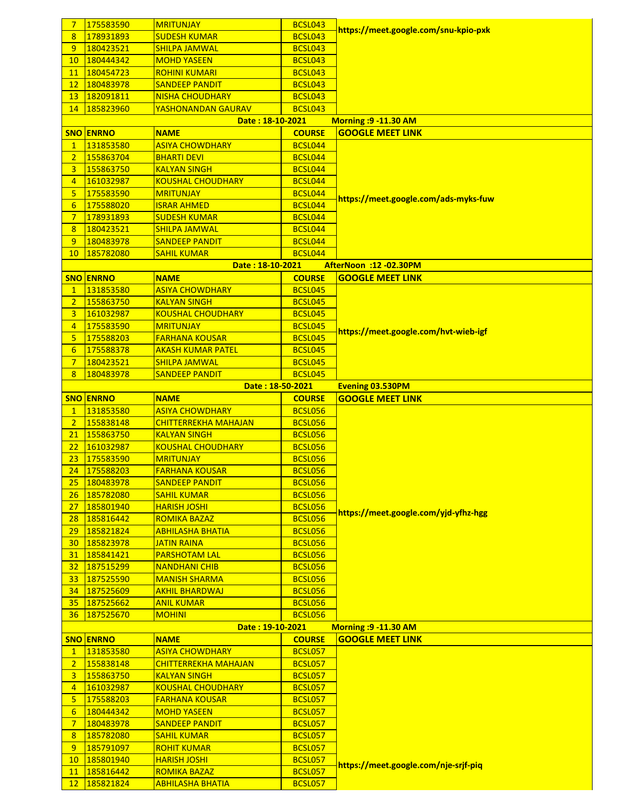| 7                | 175583590                     | <b>MRITUNJAY</b>            | <b>BCSL043</b> |                                      |
|------------------|-------------------------------|-----------------------------|----------------|--------------------------------------|
| 8                | 178931893                     | <b>SUDESH KUMAR</b>         | <b>BCSL043</b> | https://meet.google.com/snu-kpio-pxk |
| 9                | 180423521                     |                             |                |                                      |
|                  | 180444342                     | <u>SHILPA JAMWAL</u>        | <b>BCSL043</b> |                                      |
| 10               |                               | <b>MOHD YASEEN</b>          | <b>BCSL043</b> |                                      |
| <b>11</b>        | 180454723                     | <b>ROHINI KUMARI</b>        | <b>BCSL043</b> |                                      |
| 12               | 180483978                     | <b>SANDEEP PANDIT</b>       | <b>BCSL043</b> |                                      |
| 13 <sup>°</sup>  | 182091811                     | <b>NISHA CHOUDHARY</b>      | <b>BCSL043</b> |                                      |
| 14               | 185823960                     | <b>YASHONANDAN GAURAV</b>   | <b>BCSL043</b> |                                      |
|                  |                               | Date: 18-10-2021            |                | <b>Morning : 9-11.30 AM</b>          |
|                  | <b>SNO ENRNO</b>              | <b>NAME</b>                 | <b>COURSE</b>  | <b>GOOGLE MEET LINK</b>              |
| $\mathbf{1}$     | 131853580                     | <b>ASIYA CHOWDHARY</b>      | <b>BCSL044</b> |                                      |
| $\overline{2}$   | 155863704                     | <b>BHARTI DEVI</b>          | <b>BCSL044</b> |                                      |
| 3                | 155863750                     | <b>KALYAN SINGH</b>         | <b>BCSL044</b> |                                      |
| $\overline{4}$   | 161032987                     | <b>KOUSHAL CHOUDHARY</b>    | <b>BCSL044</b> |                                      |
| 5                | 175583590                     | <b>MRITUNJAY</b>            | <b>BCSL044</b> |                                      |
| $6 \overline{6}$ | 175588020                     | <b>ISRAR AHMED</b>          | <b>BCSL044</b> | https://meet.google.com/ads-myks-fuw |
| $7\overline{ }$  | 178931893                     | <b>SUDESH KUMAR</b>         | BCSL044        |                                      |
| 8                | 180423521                     | <u>SHILPA JAMWAL</u>        | BCSL044        |                                      |
| 9 <sup>°</sup>   | 180483978                     | <b>SANDEEP PANDIT</b>       | BCSL044        |                                      |
| 10               | 185782080                     | <b>SAHIL KUMAR</b>          | BCSL044        |                                      |
|                  |                               | Date: 18-10-2021            |                | <b>AfterNoon :12 -02.30PM</b>        |
|                  | <b>SNO ENRNO</b>              | <b>NAME</b>                 | <b>COURSE</b>  | <b>GOOGLE MEET LINK</b>              |
| $\mathbf{1}$     | 131853580                     | <b>ASIYA CHOWDHARY</b>      | <b>BCSL045</b> |                                      |
| $\overline{2}$   | 155863750                     | <b>KALYAN SINGH</b>         | <b>BCSL045</b> |                                      |
| 3                | 161032987                     | <b>KOUSHAL CHOUDHARY</b>    | <b>BCSL045</b> |                                      |
| $\overline{4}$   | 175583590                     | <b>MRITUNJAY</b>            | <b>BCSL045</b> |                                      |
| 5                | 175588203                     | <b>FARHANA KOUSAR</b>       | <b>BCSL045</b> | https://meet.google.com/hvt-wieb-igf |
| 6                | 175588378                     | <u>AKASH KUMAR PATEL</u>    | <b>BCSL045</b> |                                      |
| $7\phantom{.}$   | 180423521                     | <u>SHILPA JAMWAL</u>        | <b>BCSL045</b> |                                      |
| 8                | 180483978                     | <b>SANDEEP PANDIT</b>       | <b>BCSL045</b> |                                      |
|                  |                               | Date: 18-50-2021            |                | <b>Evening 03.530PM</b>              |
|                  |                               |                             |                |                                      |
|                  | <b>SNO ENRNO</b><br>131853580 | <b>NAME</b>                 | <b>COURSE</b>  | <b>GOOGLE MEET LINK</b>              |
|                  |                               |                             |                |                                      |
| $\mathbf{1}$     |                               | <b>ASIYA CHOWDHARY</b>      | <b>BCSL056</b> |                                      |
| $\overline{2}$   | 155838148                     | <b>CHITTERREKHA MAHAJAN</b> | <b>BCSL056</b> |                                      |
| 21               | 155863750                     | <b>KALYAN SINGH</b>         | <b>BCSL056</b> |                                      |
| 22               | 161032987                     | <b>KOUSHAL CHOUDHARY</b>    | <b>BCSL056</b> |                                      |
| 23               | 175583590                     | <b>MRITUNJAY</b>            | <b>BCSL056</b> |                                      |
| 24               | 175588203                     | <b>FARHANA KOUSAR</b>       | <b>BCSL056</b> |                                      |
| 25 <sub>2</sub>  | 180483978                     | <b>SANDEEP PANDIT</b>       | <b>BCSL056</b> |                                      |
| 26 <sup>2</sup>  | 185782080                     | <b>SAHIL KUMAR</b>          | <b>BCSL056</b> |                                      |
| 27               | 185801940                     | <b>HARISH JOSHI</b>         | <b>BCSL056</b> |                                      |
| 28 <sup>2</sup>  | 185816442                     | <b>ROMIKA BAZAZ</b>         | <b>BCSL056</b> | https://meet.google.com/yjd-yfhz-hgg |
| 29               | 185821824                     | <b>ABHILASHA BHATIA</b>     | <b>BCSL056</b> |                                      |
| 30 <sub>2</sub>  | 185823978                     | <b>JATIN RAINA</b>          | <b>BCSL056</b> |                                      |
| 31               | 185841421                     | <b>PARSHOTAM LAL</b>        | <b>BCSL056</b> |                                      |
| 32 <sub>2</sub>  | 187515299                     | <b>NANDHANI CHIB</b>        | <b>BCSL056</b> |                                      |
| 33 <sup>°</sup>  | 187525590                     | <b>MANISH SHARMA</b>        | <b>BCSL056</b> |                                      |
| 34 <sup>2</sup>  | 187525609                     | <u>AKHIL BHARDWAJ</u>       | <b>BCSL056</b> |                                      |
| 35 <sub>1</sub>  | 187525662                     | <b>ANIL KUMAR</b>           | <b>BCSL056</b> |                                      |
| 36               | 187525670                     | <b>MOHINI</b>               | <b>BCSL056</b> |                                      |
|                  |                               | Date: 19-10-2021            |                | <b>Morning : 9-11.30 AM</b>          |
|                  | <b>SNO ENRNO</b>              | <b>NAME</b>                 | <b>COURSE</b>  | <b>GOOGLE MEET LINK</b>              |
| $\mathbf{1}$     | 131853580                     | <b>ASIYA CHOWDHARY</b>      | <b>BCSL057</b> |                                      |
| $\overline{2}$   | 155838148                     | <b>CHITTERREKHA MAHAJAN</b> | <b>BCSL057</b> |                                      |
| 3                | 155863750                     | <b>KALYAN SINGH</b>         | <b>BCSL057</b> |                                      |
| $\overline{4}$   | 161032987                     | <b>KOUSHAL CHOUDHARY</b>    | <b>BCSL057</b> |                                      |
| 5                | 175588203                     | <b>FARHANA KOUSAR</b>       | <b>BCSL057</b> |                                      |
| $6 \overline{6}$ | 180444342                     | <b>MOHD YASEEN</b>          | <b>BCSL057</b> |                                      |
| $\overline{7}$   | 180483978                     | <b>SANDEEP PANDIT</b>       | <b>BCSL057</b> |                                      |
| 8                | 185782080                     | <b>SAHIL KUMAR</b>          | <b>BCSL057</b> |                                      |
| 9                | 185791097                     | <b>ROHIT KUMAR</b>          | <b>BCSL057</b> |                                      |
| 10 <sup>°</sup>  | 185801940                     | <b>HARISH JOSHI</b>         | <b>BCSL057</b> |                                      |
| 11               | 185816442                     | <b>ROMIKA BAZAZ</b>         | <b>BCSL057</b> | https://meet.google.com/nje-srjf-piq |